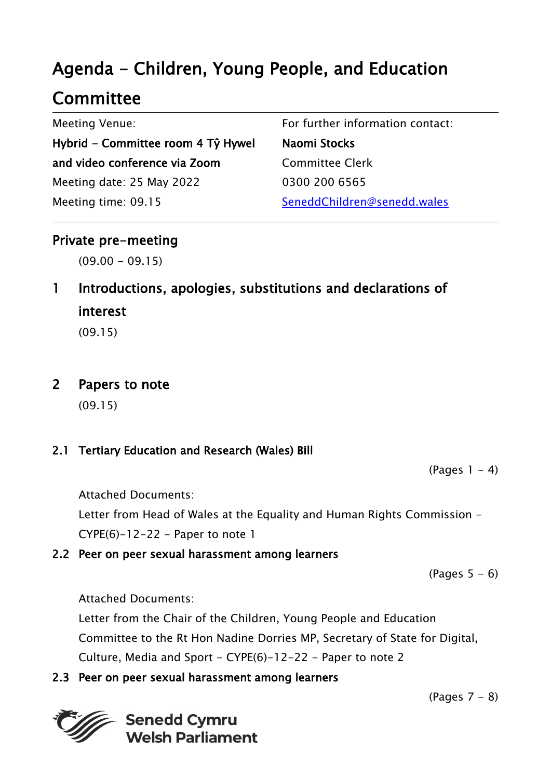# Agenda - Children, Young People, and Education

# **Committee**

| <b>Meeting Venue:</b>              | For further information contact: |
|------------------------------------|----------------------------------|
| Hybrid – Committee room 4 Tŷ Hywel | Naomi Stocks                     |
| and video conference via Zoom      | <b>Committee Clerk</b>           |
| Meeting date: 25 May 2022          | 0300 200 6565                    |
| Meeting time: 09.15                | SeneddChildren@senedd.wales      |

## Private pre-meeting

 $(09.00 - 09.15)$ 

1 Introductions, apologies, substitutions and declarations of interest

(09.15)

## 2 Papers to note

(09.15)

### 2.1 Tertiary Education and Research (Wales) Bill

 $(Pages 1 - 4)$ 

Attached Documents:

Letter from Head of Wales at the Equality and Human Rights Commission -  $CYPE(6)-12-22$  - Paper to note 1

### 2.2 Peer on peer sexual harassment among learners

(Pages  $5 - 6$ )

Attached Documents:

Letter from the Chair of the Children, Young People and Education Committee to the Rt Hon Nadine Dorries MP, Secretary of State for Digital, Culture, Media and Sport - CYPE(6)-12-22 - Paper to note 2

## 2.3 Peer on peer sexual harassment among learners



(Pages 7 - 8)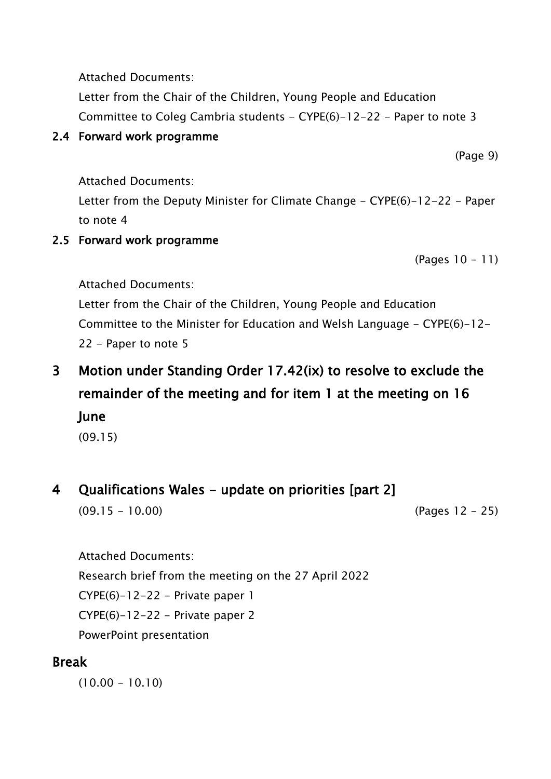Attached Documents:

Letter from the Chair of the Children, Young People and Education Committee to Coleg Cambria students - CYPE(6)-12-22 - Paper to note 3

### 2.4 Forward work programme

(Page 9)

Attached Documents:

Letter from the Deputy Minister for Climate Change - CYPE(6)-12-22 - Paper to note 4

## 2.5 Forward work programme

(Pages 10 - 11)

Attached Documents:

Letter from the Chair of the Children, Young People and Education Committee to the Minister for Education and Welsh Language - CYPE(6)-12- 22 - Paper to note 5

3 Motion under Standing Order 17.42(ix) to resolve to exclude the remainder of the meeting and for item 1 at the meeting on 16 June

(09.15)

# 4 Qualifications Wales - update on priorities [part 2]

(09.15 - 10.00) (Pages 12 - 25)

Attached Documents:

Research brief from the meeting on the 27 April 2022

 $CYPE(6)-12-22 - Private paper 1$ 

 $CYPE(6)-12-22$  – Private paper 2

PowerPoint presentation

# Break

 $(10.00 - 10.10)$